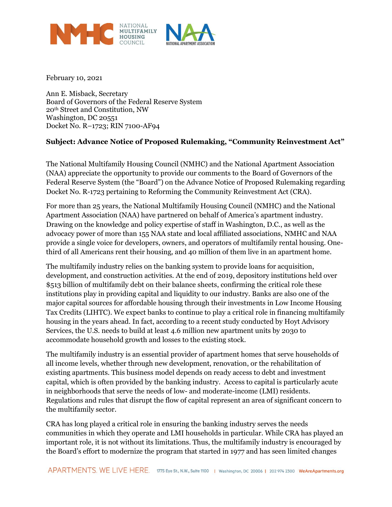

February 10, 2021

Ann E. Misback, Secretary Board of Governors of the Federal Reserve System 20th Street and Constitution, NW Washington, DC 20551 Docket No. R–1723; RIN 7100-AF94

# **Subject: Advance Notice of Proposed Rulemaking, "Community Reinvestment Act"**

The National Multifamily Housing Council (NMHC) and the National Apartment Association (NAA) appreciate the opportunity to provide our comments to the Board of Governors of the Federal Reserve System (the "Board") on the Advance Notice of Proposed Rulemaking regarding Docket No. R-1723 pertaining to Reforming the Community Reinvestment Act (CRA).

For more than 25 years, the National Multifamily Housing Council (NMHC) and the National Apartment Association (NAA) have partnered on behalf of America's apartment industry. Drawing on the knowledge and policy expertise of staff in Washington, D.C., as well as the advocacy power of more than 155 NAA state and local affiliated associations, NMHC and NAA provide a single voice for developers, owners, and operators of multifamily rental housing. Onethird of all Americans rent their housing, and 40 million of them live in an apartment home.

The multifamily industry relies on the banking system to provide loans for acquisition, development, and construction activities. At the end of 2019, depository institutions held over \$513 billion of multifamily debt on their balance sheets, confirming the critical role these institutions play in providing capital and liquidity to our industry. Banks are also one of the major capital sources for affordable housing through their investments in Low Income Housing Tax Credits (LIHTC). We expect banks to continue to play a critical role in financing multifamily housing in the years ahead. In fact, according to a recent study conducted by Hoyt Advisory Services, the U.S. needs to build at least 4.6 million new apartment units by 2030 to accommodate household growth and losses to the existing stock.

The multifamily industry is an essential provider of apartment homes that serve households of all income levels, whether through new development, renovation, or the rehabilitation of existing apartments. This business model depends on ready access to debt and investment capital, which is often provided by the banking industry. Access to capital is particularly acute in neighborhoods that serve the needs of low- and moderate-income (LMI) residents. Regulations and rules that disrupt the flow of capital represent an area of significant concern to the multifamily sector.

CRA has long played a critical role in ensuring the banking industry serves the needs communities in which they operate and LMI households in particular. While CRA has played an important role, it is not without its limitations. Thus, the multifamily industry is encouraged by the Board's effort to modernize the program that started in 1977 and has seen limited changes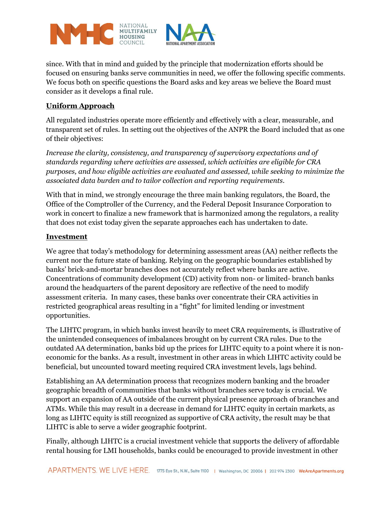

since. With that in mind and guided by the principle that modernization efforts should be focused on ensuring banks serve communities in need, we offer the following specific comments. We focus both on specific questions the Board asks and key areas we believe the Board must consider as it develops a final rule.

# **Uniform Approach**

All regulated industries operate more efficiently and effectively with a clear, measurable, and transparent set of rules. In setting out the objectives of the ANPR the Board included that as one of their objectives:

*Increase the clarity, consistency, and transparency of supervisory expectations and of standards regarding where activities are assessed, which activities are eligible for CRA purposes, and how eligible activities are evaluated and assessed, while seeking to minimize the associated data burden and to tailor collection and reporting requirements.*

With that in mind, we strongly encourage the three main banking regulators, the Board, the Office of the Comptroller of the Currency, and the Federal Deposit Insurance Corporation to work in concert to finalize a new framework that is harmonized among the regulators, a reality that does not exist today given the separate approaches each has undertaken to date.

#### **Investment**

We agree that today's methodology for determining assessment areas (AA) neither reflects the current nor the future state of banking. Relying on the geographic boundaries established by banks' brick-and-mortar branches does not accurately reflect where banks are active. Concentrations of community development (CD) activity from non- or limited- branch banks around the headquarters of the parent depository are reflective of the need to modify assessment criteria. In many cases, these banks over concentrate their CRA activities in restricted geographical areas resulting in a "fight" for limited lending or investment opportunities.

The LIHTC program, in which banks invest heavily to meet CRA requirements, is illustrative of the unintended consequences of imbalances brought on by current CRA rules. Due to the outdated AA determination, banks bid up the prices for LIHTC equity to a point where it is noneconomic for the banks. As a result, investment in other areas in which LIHTC activity could be beneficial, but uncounted toward meeting required CRA investment levels, lags behind.

Establishing an AA determination process that recognizes modern banking and the broader geographic breadth of communities that banks without branches serve today is crucial. We support an expansion of AA outside of the current physical presence approach of branches and ATMs. While this may result in a decrease in demand for LIHTC equity in certain markets, as long as LIHTC equity is still recognized as supportive of CRA activity, the result may be that LIHTC is able to serve a wider geographic footprint.

Finally, although LIHTC is a crucial investment vehicle that supports the delivery of affordable rental housing for LMI households, banks could be encouraged to provide investment in other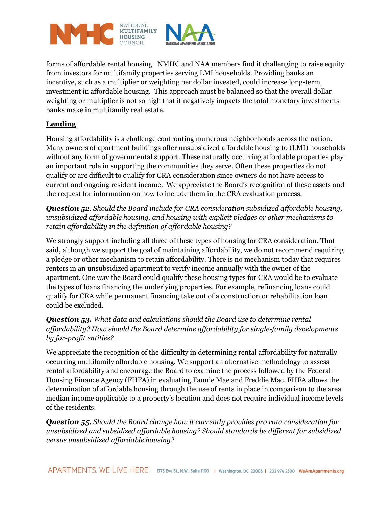

forms of affordable rental housing. NMHC and NAA members find it challenging to raise equity from investors for multifamily properties serving LMI households. Providing banks an incentive, such as a multiplier or weighting per dollar invested, could increase long-term investment in affordable housing. This approach must be balanced so that the overall dollar weighting or multiplier is not so high that it negatively impacts the total monetary investments banks make in multifamily real estate.

# **Lending**

Housing affordability is a challenge confronting numerous neighborhoods across the nation. Many owners of apartment buildings offer unsubsidized affordable housing to (LMI) households without any form of governmental support. These naturally occurring affordable properties play an important role in supporting the communities they serve. Often these properties do not qualify or are difficult to qualify for CRA consideration since owners do not have access to current and ongoing resident income. We appreciate the Board's recognition of these assets and the request for information on how to include them in the CRA evaluation process.

*Question 52. Should the Board include for CRA consideration subsidized affordable housing, unsubsidized affordable housing, and housing with explicit pledges or other mechanisms to retain affordability in the definition of affordable housing?*

We strongly support including all three of these types of housing for CRA consideration. That said, although we support the goal of maintaining affordability, we do not recommend requiring a pledge or other mechanism to retain affordability. There is no mechanism today that requires renters in an unsubsidized apartment to verify income annually with the owner of the apartment. One way the Board could qualify these housing types for CRA would be to evaluate the types of loans financing the underlying properties. For example, refinancing loans could qualify for CRA while permanent financing take out of a construction or rehabilitation loan could be excluded.

# *Question 53. What data and calculations should the Board use to determine rental affordability? How should the Board determine affordability for single-family developments by for-profit entities?*

We appreciate the recognition of the difficulty in determining rental affordability for naturally occurring multifamily affordable housing. We support an alternative methodology to assess rental affordability and encourage the Board to examine the process followed by the Federal Housing Finance Agency (FHFA) in evaluating Fannie Mae and Freddie Mac. FHFA allows the determination of affordable housing through the use of rents in place in comparison to the area median income applicable to a property's location and does not require individual income levels of the residents.

*Question 55. Should the Board change how it currently provides pro rata consideration for unsubsidized and subsidized affordable housing? Should standards be different for subsidized versus unsubsidized affordable housing?*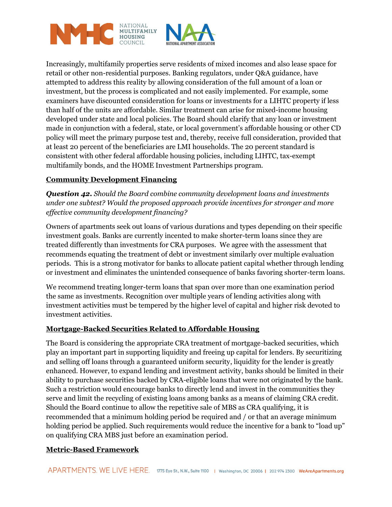

Increasingly, multifamily properties serve residents of mixed incomes and also lease space for retail or other non-residential purposes. Banking regulators, under Q&A guidance, have attempted to address this reality by allowing consideration of the full amount of a loan or investment, but the process is complicated and not easily implemented. For example, some examiners have discounted consideration for loans or investments for a LIHTC property if less than half of the units are affordable. Similar treatment can arise for mixed-income housing developed under state and local policies. The Board should clarify that any loan or investment made in conjunction with a federal, state, or local government's affordable housing or other CD policy will meet the primary purpose test and, thereby, receive full consideration, provided that at least 20 percent of the beneficiaries are LMI households. The 20 percent standard is consistent with other federal affordable housing policies, including LIHTC, tax-exempt multifamily bonds, and the HOME Investment Partnerships program.

# **Community Development Financing**

*Question 42. Should the Board combine community development loans and investments under one subtest? Would the proposed approach provide incentives for stronger and more effective community development financing?*

Owners of apartments seek out loans of various durations and types depending on their specific investment goals. Banks are currently incented to make shorter-term loans since they are treated differently than investments for CRA purposes. We agree with the assessment that recommends equating the treatment of debt or investment similarly over multiple evaluation periods. This is a strong motivator for banks to allocate patient capital whether through lending or investment and eliminates the unintended consequence of banks favoring shorter-term loans.

We recommend treating longer-term loans that span over more than one examination period the same as investments. Recognition over multiple years of lending activities along with investment activities must be tempered by the higher level of capital and higher risk devoted to investment activities.

# **Mortgage-Backed Securities Related to Affordable Housing**

The Board is considering the appropriate CRA treatment of mortgage-backed securities, which play an important part in supporting liquidity and freeing up capital for lenders. By securitizing and selling off loans through a guaranteed uniform security, liquidity for the lender is greatly enhanced. However, to expand lending and investment activity, banks should be limited in their ability to purchase securities backed by CRA-eligible loans that were not originated by the bank. Such a restriction would encourage banks to directly lend and invest in the communities they serve and limit the recycling of existing loans among banks as a means of claiming CRA credit. Should the Board continue to allow the repetitive sale of MBS as CRA qualifying, it is recommended that a minimum holding period be required and / or that an average minimum holding period be applied. Such requirements would reduce the incentive for a bank to "load up" on qualifying CRA MBS just before an examination period.

# **Metric-Based Framework**